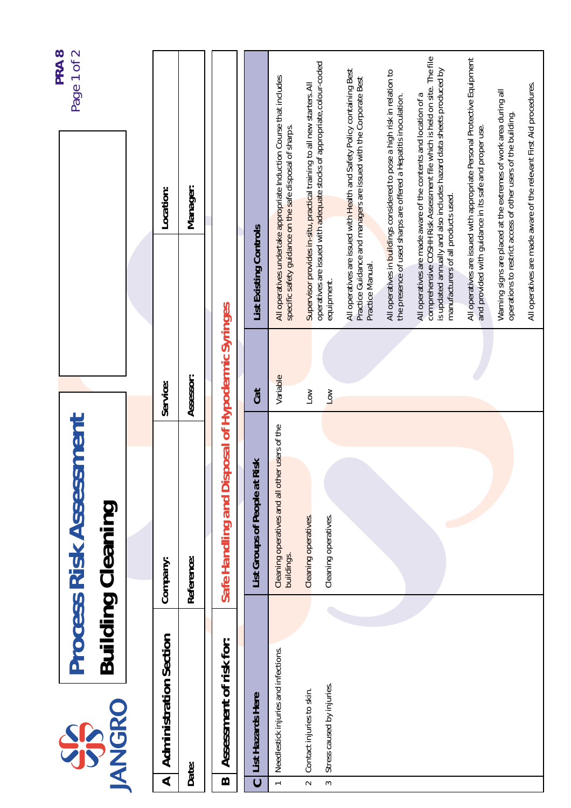|                      |                                                         |                                                              |                              |                                                                                                                                   | PRA <sub>8</sub>                                                                                                                                    |
|----------------------|---------------------------------------------------------|--------------------------------------------------------------|------------------------------|-----------------------------------------------------------------------------------------------------------------------------------|-----------------------------------------------------------------------------------------------------------------------------------------------------|
|                      | <b>JANGRO</b><br>SS                                     | <b>Process Risk Assessment</b><br><b>Building Cleaning</b>   |                              |                                                                                                                                   | Page 1 of 2                                                                                                                                         |
|                      |                                                         |                                                              |                              |                                                                                                                                   |                                                                                                                                                     |
| $\blacktriangleleft$ | <b>Administration Section</b>                           | Company:                                                     | Service:                     | Location:                                                                                                                         |                                                                                                                                                     |
|                      | Date:                                                   | Reference:                                                   | Assessor:                    | Manager:                                                                                                                          |                                                                                                                                                     |
| $\bf{m}$             | Assessment of risk for:                                 | Safe Handling and Dis                                        | posal of Hypodermic Syringes |                                                                                                                                   |                                                                                                                                                     |
| $\overline{c}$       | List Hazards Here                                       | List Groups of People at Risk                                | Cat                          | List Existing Controls                                                                                                            |                                                                                                                                                     |
| $\leftarrow$         | Needlestick injuries and infections.                    | Cleaning operatives and all other users of the<br>buildings. | Variable                     | All operatives undertake appropriate Induction Course that includes<br>specific safety guidance on the safe disposal of sharps.   |                                                                                                                                                     |
| $\sim$<br>$\sim$     | Stress caused by injuries.<br>Contact injuries to skin. | Cleaning operatives.<br>Cleaning operatives.                 | $\sum_{i=1}^{n}$             |                                                                                                                                   | Supervisor provides in-situ, practical training to all new starters. All<br>operatives are issued with adequate stocks of appropriate, colour-coded |
|                      |                                                         |                                                              | $\sqrt{2}$                   | Practice Guidance and managers are issued with the Corporate Best<br>Practice Manual.<br>equipment.                               | All operatives are issued with Health and Safety Policy containing Best                                                                             |
|                      |                                                         |                                                              |                              | the presence of used sharps are offered a Hepatitis inoculation.                                                                  | All operatives in buildings considered to pose a high risk in relation to                                                                           |
|                      |                                                         |                                                              |                              | All operatives are made aware of the contents and location of a<br>manufacturers of all products used.                            | comprehensive COSHH Risk Assessment file which is held on site. The file<br>is updated annually and also includes hazard data sheets produced by    |
|                      |                                                         |                                                              |                              | and provided with guidance in its safe and proper use.                                                                            | All operatives are issued with appropriate Personal Protective Equipment                                                                            |
|                      |                                                         |                                                              |                              | Warning signs are placed at the extremes of work area during all<br>operations to restrict access of other users of the building. |                                                                                                                                                     |
|                      |                                                         |                                                              |                              | All operatives are made aware of the relevant First Aid procedures.                                                               |                                                                                                                                                     |